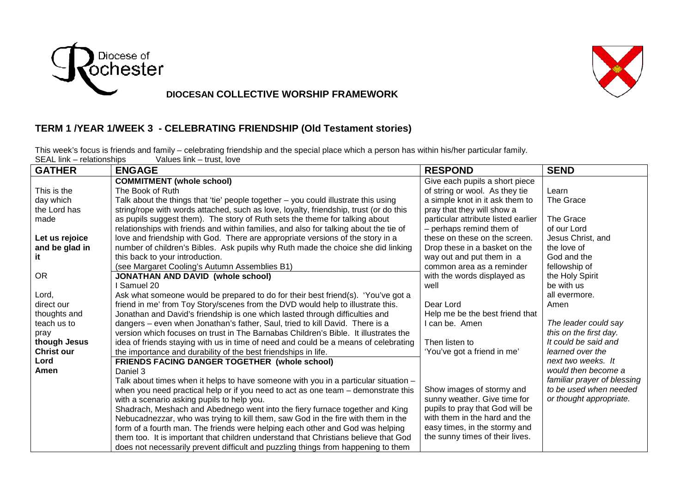

## **DIOCESAN COLLECTIVE WORSHIP FRAMEWORK**

## **TERM 1 /YEAR 1/WEEK 3 - CELEBRATING FRIENDSHIP (Old Testament stories)**

This week's focus is friends and family – celebrating friendship and the special place which a person has within his/her particular family. SEAL link – relationships Values link – trust, love

| <b>GATHER</b>     | <b>ENGAGE</b>                                                                         | <b>RESPOND</b>                      | <b>SEND</b>                 |
|-------------------|---------------------------------------------------------------------------------------|-------------------------------------|-----------------------------|
|                   | <b>COMMITMENT (whole school)</b>                                                      | Give each pupils a short piece      |                             |
| This is the       | The Book of Ruth                                                                      | of string or wool. As they tie      | Learn                       |
| day which         | Talk about the things that 'tie' people together - you could illustrate this using    | a simple knot in it ask them to     | The Grace                   |
| the Lord has      | string/rope with words attached, such as love, loyalty, friendship, trust (or do this | pray that they will show a          |                             |
| made              | as pupils suggest them). The story of Ruth sets the theme for talking about           | particular attribute listed earlier | The Grace                   |
|                   | relationships with friends and within families, and also for talking about the tie of | - perhaps remind them of            | of our Lord                 |
| Let us rejoice    | love and friendship with God. There are appropriate versions of the story in a        | these on these on the screen.       | Jesus Christ, and           |
| and be glad in    | number of children's Bibles. Ask pupils why Ruth made the choice she did linking      | Drop these in a basket on the       | the love of                 |
| it                | this back to your introduction.                                                       | way out and put them in a           | God and the                 |
|                   | (see Margaret Cooling's Autumn Assemblies B1)                                         | common area as a reminder           | fellowship of               |
| <b>OR</b>         | <b>JONATHAN AND DAVID (whole school)</b>                                              | with the words displayed as         | the Holy Spirit             |
|                   | I Samuel 20                                                                           | well                                | be with us                  |
| Lord,             | Ask what someone would be prepared to do for their best friend(s). 'You've got a      |                                     | all evermore.               |
| direct our        | friend in me' from Toy Story/scenes from the DVD would help to illustrate this.       | Dear Lord                           | Amen                        |
| thoughts and      | Jonathan and David's friendship is one which lasted through difficulties and          | Help me be the best friend that     |                             |
| teach us to       | dangers - even when Jonathan's father, Saul, tried to kill David. There is a          | I can be. Amen                      | The leader could say        |
| pray              | version which focuses on trust in The Barnabas Children's Bible. It illustrates the   |                                     | this on the first day.      |
| though Jesus      | idea of friends staying with us in time of need and could be a means of celebrating   | Then listen to                      | It could be said and        |
| <b>Christ our</b> | the importance and durability of the best friendships in life.                        | 'You've got a friend in me'         | learned over the            |
| Lord              | FRIENDS FACING DANGER TOGETHER (whole school)                                         |                                     | next two weeks. It          |
| Amen              | Daniel 3                                                                              |                                     | would then become a         |
|                   | Talk about times when it helps to have someone with you in a particular situation -   |                                     | familiar prayer of blessing |
|                   | when you need practical help or if you need to act as one team - demonstrate this     | Show images of stormy and           | to be used when needed      |
|                   | with a scenario asking pupils to help you.                                            | sunny weather. Give time for        | or thought appropriate.     |
|                   | Shadrach, Meshach and Abednego went into the fiery furnace together and King          | pupils to pray that God will be     |                             |
|                   | Nebucadnezzar, who was trying to kill them, saw God in the fire with them in the      | with them in the hard and the       |                             |
|                   | form of a fourth man. The friends were helping each other and God was helping         | easy times, in the stormy and       |                             |
|                   | them too. It is important that children understand that Christians believe that God   | the sunny times of their lives.     |                             |
|                   | does not necessarily prevent difficult and puzzling things from happening to them     |                                     |                             |